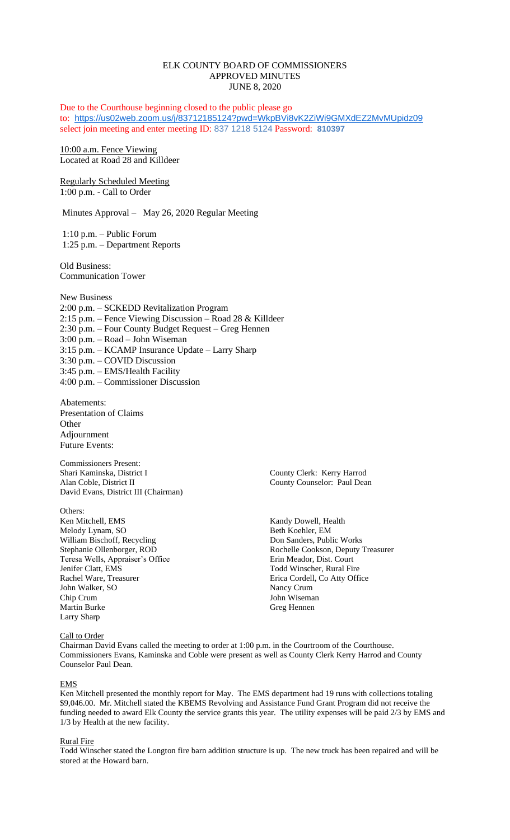# ELK COUNTY BOARD OF COMMISSIONERS APPROVED MINUTES JUNE 8, 2020

Due to the Courthouse beginning closed to the public please go to: <https://us02web.zoom.us/j/83712185124?pwd=WkpBVi8vK2ZiWi9GMXdEZ2MvMUpidz09> select join meeting and enter meeting ID: 837 1218 5124 Password: **810397**

10:00 a.m. Fence Viewing Located at Road 28 and Killdeer

Regularly Scheduled Meeting 1:00 p.m. - Call to Order

Minutes Approval – May 26, 2020 Regular Meeting

1:10 p.m. – Public Forum 1:25 p.m. – Department Reports

Old Business: Communication Tower

New Business 2:00 p.m. – SCKEDD Revitalization Program 2:15 p.m. – Fence Viewing Discussion – Road 28 & Killdeer 2:30 p.m. – Four County Budget Request – Greg Hennen 3:00 p.m. – Road – John Wiseman 3:15 p.m. – KCAMP Insurance Update – Larry Sharp 3:30 p.m. – COVID Discussion 3:45 p.m. – EMS/Health Facility 4:00 p.m. – Commissioner Discussion

Abatements: Presentation of Claims **Other** Adjournment Future Events:

Commissioners Present: Shari Kaminska, District I County Clerk: Kerry Harrod Alan Coble, District II County Counselor: Paul Dean David Evans, District III (Chairman)

Others:<br>Ken Mitchell, EMS Melody Lynam, SO Beth Koehler, EM William Bischoff, Recycling Don Sanders, Public Works<br>
Stephanie Ollenborger, ROD<br>
Rochelle Cookson, Deputy Teresa Wells, Appraiser's Office<br>Jenifer Clatt, EMS Jenifer Clatt, EMS<br>
Rachel Ware, Treasurer<br>
Frica Cordell, Co Atty Office John Walker, SO Nancy Crum Chip Crum John Wiseman Martin Burke Greg Hennen Larry Sharp

Call to Order

Kandy Dowell, Health Rochelle Cookson, Deputy Treasurer<br>Erin Meador, Dist. Court Erica Cordell, Co Atty Office

Chairman David Evans called the meeting to order at 1:00 p.m. in the Courtroom of the Courthouse. Commissioners Evans, Kaminska and Coble were present as well as County Clerk Kerry Harrod and County Counselor Paul Dean.

### EMS

Ken Mitchell presented the monthly report for May. The EMS department had 19 runs with collections totaling \$9,046.00. Mr. Mitchell stated the KBEMS Revolving and Assistance Fund Grant Program did not receive the funding needed to award Elk County the service grants this year. The utility expenses will be paid 2/3 by EMS and 1/3 by Health at the new facility.

# Rural Fire

Todd Winscher stated the Longton fire barn addition structure is up. The new truck has been repaired and will be stored at the Howard barn.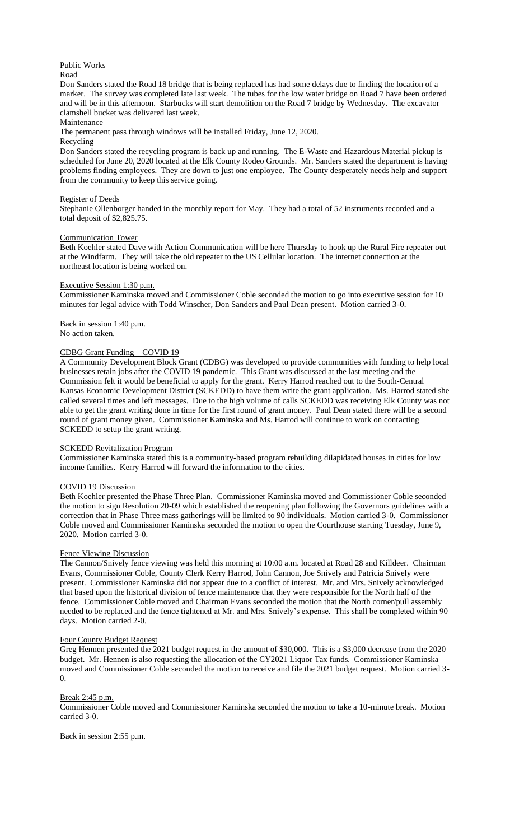# Public Works

#### Road

Don Sanders stated the Road 18 bridge that is being replaced has had some delays due to finding the location of a marker. The survey was completed late last week. The tubes for the low water bridge on Road 7 have been ordered and will be in this afternoon. Starbucks will start demolition on the Road 7 bridge by Wednesday. The excavator clamshell bucket was delivered last week.

## Maintenance

The permanent pass through windows will be installed Friday, June 12, 2020.

# Recycling

Don Sanders stated the recycling program is back up and running. The E-Waste and Hazardous Material pickup is scheduled for June 20, 2020 located at the Elk County Rodeo Grounds. Mr. Sanders stated the department is having problems finding employees. They are down to just one employee. The County desperately needs help and support from the community to keep this service going.

#### Register of Deeds

Stephanie Ollenborger handed in the monthly report for May. They had a total of 52 instruments recorded and a total deposit of \$2,825.75.

#### Communication Tower

Beth Koehler stated Dave with Action Communication will be here Thursday to hook up the Rural Fire repeater out at the Windfarm. They will take the old repeater to the US Cellular location. The internet connection at the northeast location is being worked on.

### Executive Session 1:30 p.m.

Commissioner Kaminska moved and Commissioner Coble seconded the motion to go into executive session for 10 minutes for legal advice with Todd Winscher, Don Sanders and Paul Dean present. Motion carried 3-0.

Back in session 1:40 p.m. No action taken.

### CDBG Grant Funding – COVID 19

A Community Development Block Grant (CDBG) was developed to provide communities with funding to help local businesses retain jobs after the COVID 19 pandemic. This Grant was discussed at the last meeting and the Commission felt it would be beneficial to apply for the grant. Kerry Harrod reached out to the South-Central Kansas Economic Development District (SCKEDD) to have them write the grant application. Ms. Harrod stated she called several times and left messages. Due to the high volume of calls SCKEDD was receiving Elk County was not able to get the grant writing done in time for the first round of grant money. Paul Dean stated there will be a second round of grant money given. Commissioner Kaminska and Ms. Harrod will continue to work on contacting SCKEDD to setup the grant writing.

## SCKEDD Revitalization Program

Commissioner Kaminska stated this is a community-based program rebuilding dilapidated houses in cities for low income families. Kerry Harrod will forward the information to the cities.

#### COVID 19 Discussion

Beth Koehler presented the Phase Three Plan. Commissioner Kaminska moved and Commissioner Coble seconded the motion to sign Resolution 20-09 which established the reopening plan following the Governors guidelines with a correction that in Phase Three mass gatherings will be limited to 90 individuals. Motion carried 3-0. Commissioner Coble moved and Commissioner Kaminska seconded the motion to open the Courthouse starting Tuesday, June 9, 2020. Motion carried 3-0.

### Fence Viewing Discussion

The Cannon/Snively fence viewing was held this morning at 10:00 a.m. located at Road 28 and Killdeer. Chairman Evans, Commissioner Coble, County Clerk Kerry Harrod, John Cannon, Joe Snively and Patricia Snively were present. Commissioner Kaminska did not appear due to a conflict of interest. Mr. and Mrs. Snively acknowledged that based upon the historical division of fence maintenance that they were responsible for the North half of the fence. Commissioner Coble moved and Chairman Evans seconded the motion that the North corner/pull assembly needed to be replaced and the fence tightened at Mr. and Mrs. Snively's expense. This shall be completed within 90 days. Motion carried 2-0.

#### Four County Budget Request

Greg Hennen presented the 2021 budget request in the amount of \$30,000. This is a \$3,000 decrease from the 2020 budget. Mr. Hennen is also requesting the allocation of the CY2021 Liquor Tax funds. Commissioner Kaminska moved and Commissioner Coble seconded the motion to receive and file the 2021 budget request. Motion carried 3-  $\overline{0}$ .

## Break 2:45 p.m.

Commissioner Coble moved and Commissioner Kaminska seconded the motion to take a 10-minute break. Motion carried 3-0.

Back in session 2:55 p.m.